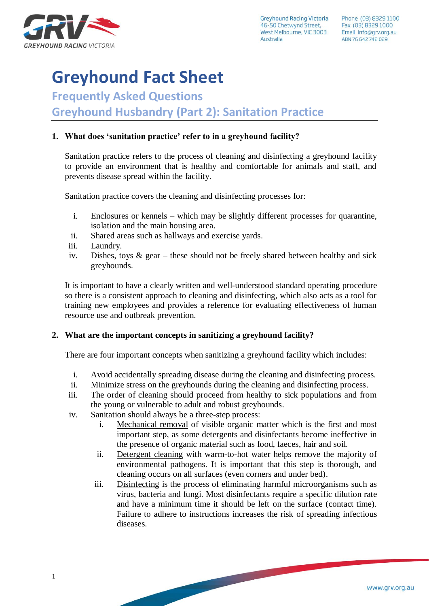

**Greyhound Racing Victoria** 46-50 Chetwynd Street, West Melbourne, VIC 3003 Australia

# **Greyhound Fact Sheet**

**Frequently Asked Questions**

**Greyhound Husbandry (Part 2): Sanitation Practice**

# **1. What does 'sanitation practice' refer to in a greyhound facility?**

Sanitation practice refers to the process of cleaning and disinfecting a greyhound facility to provide an environment that is healthy and comfortable for animals and staff, and prevents disease spread within the facility.

Sanitation practice covers the cleaning and disinfecting processes for:

- i. Enclosures or kennels which may be slightly different processes for quarantine, isolation and the main housing area.
- ii. Shared areas such as hallways and exercise yards.
- iii. Laundry.
- iv. Dishes, toys  $\&$  gear these should not be freely shared between healthy and sick greyhounds.

It is important to have a clearly written and well-understood standard operating procedure so there is a consistent approach to cleaning and disinfecting, which also acts as a tool for training new employees and provides a reference for evaluating effectiveness of human resource use and outbreak prevention.

#### **2. What are the important concepts in sanitizing a greyhound facility?**

There are four important concepts when sanitizing a greyhound facility which includes:

- i. Avoid accidentally spreading disease during the cleaning and disinfecting process.
- ii. Minimize stress on the greyhounds during the cleaning and disinfecting process.
- iii. The order of cleaning should proceed from healthy to sick populations and from the young or vulnerable to adult and robust greyhounds.
- iv. Sanitation should always be a three-step process:
	- i. Mechanical removal of visible organic matter which is the first and most important step, as some detergents and disinfectants become ineffective in the presence of organic material such as food, faeces, hair and soil.
	- ii. Detergent cleaning with warm-to-hot water helps remove the majority of environmental pathogens. It is important that this step is thorough, and cleaning occurs on all surfaces (even corners and under bed).
	- iii. Disinfecting is the process of eliminating harmful microorganisms such as virus, bacteria and fungi. Most disinfectants require a specific dilution rate and have a minimum time it should be left on the surface (contact time). Failure to adhere to instructions increases the risk of spreading infectious diseases.

<u>and the second second</u>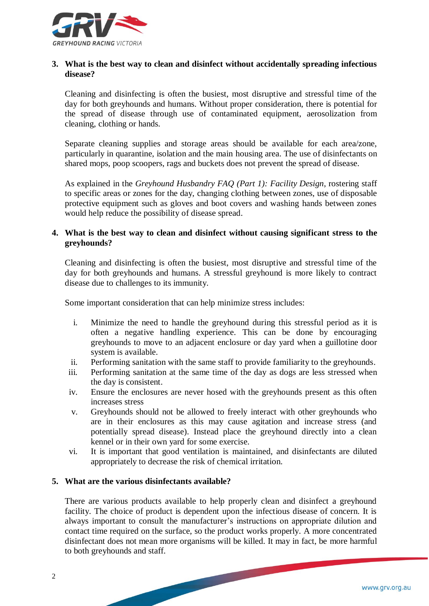

### **3. What is the best way to clean and disinfect without accidentally spreading infectious disease?**

Cleaning and disinfecting is often the busiest, most disruptive and stressful time of the day for both greyhounds and humans. Without proper consideration, there is potential for the spread of disease through use of contaminated equipment, aerosolization from cleaning, clothing or hands.

Separate cleaning supplies and storage areas should be available for each area/zone, particularly in quarantine, isolation and the main housing area. The use of disinfectants on shared mops, poop scoopers, rags and buckets does not prevent the spread of disease.

As explained in the *Greyhound Husbandry FAQ (Part 1): Facility Design*, rostering staff to specific areas or zones for the day, changing clothing between zones, use of disposable protective equipment such as gloves and boot covers and washing hands between zones would help reduce the possibility of disease spread.

# **4. What is the best way to clean and disinfect without causing significant stress to the greyhounds?**

Cleaning and disinfecting is often the busiest, most disruptive and stressful time of the day for both greyhounds and humans. A stressful greyhound is more likely to contract disease due to challenges to its immunity.

Some important consideration that can help minimize stress includes:

- i. Minimize the need to handle the greyhound during this stressful period as it is often a negative handling experience. This can be done by encouraging greyhounds to move to an adjacent enclosure or day yard when a guillotine door system is available.
- ii. Performing sanitation with the same staff to provide familiarity to the greyhounds.
- iii. Performing sanitation at the same time of the day as dogs are less stressed when the day is consistent.
- iv. Ensure the enclosures are never hosed with the greyhounds present as this often increases stress
- v. Greyhounds should not be allowed to freely interact with other greyhounds who are in their enclosures as this may cause agitation and increase stress (and potentially spread disease). Instead place the greyhound directly into a clean kennel or in their own yard for some exercise.
- vi. It is important that good ventilation is maintained, and disinfectants are diluted appropriately to decrease the risk of chemical irritation.

#### **5. What are the various disinfectants available?**

There are various products available to help properly clean and disinfect a greyhound facility. The choice of product is dependent upon the infectious disease of concern. It is always important to consult the manufacturer's instructions on appropriate dilution and contact time required on the surface, so the product works properly. A more concentrated disinfectant does not mean more organisms will be killed. It may in fact, be more harmful to both greyhounds and staff.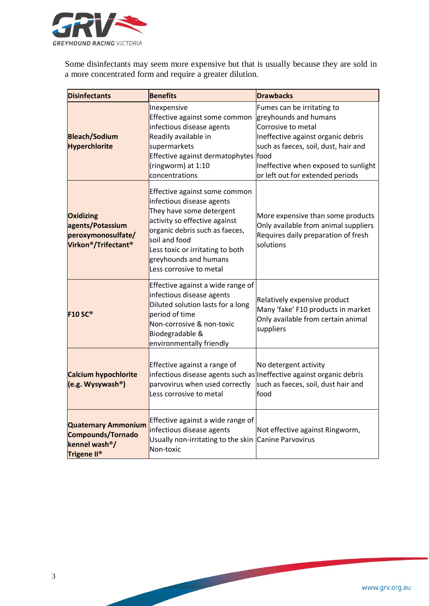

Some disinfectants may seem more expensive but that is usually because they are sold in a more concentrated form and require a greater dilution.

| <b>Disinfectants</b>                                                                                            | <b>Benefits</b>                                                                                                                                                                                                                                                    | <b>Drawbacks</b>                                                                                                                                                                                                                            |
|-----------------------------------------------------------------------------------------------------------------|--------------------------------------------------------------------------------------------------------------------------------------------------------------------------------------------------------------------------------------------------------------------|---------------------------------------------------------------------------------------------------------------------------------------------------------------------------------------------------------------------------------------------|
| <b>Bleach/Sodium</b><br><b>Hyperchlorite</b>                                                                    | Inexpensive<br>Effective against some common<br>infectious disease agents<br>Readily available in<br>supermarkets<br>Effective against dermatophytes<br>(ringworm) at 1:10<br>concentrations                                                                       | Fumes can be irritating to<br>greyhounds and humans<br>Corrosive to metal<br>Ineffective against organic debris<br>such as faeces, soil, dust, hair and<br>food<br>Ineffective when exposed to sunlight<br>or left out for extended periods |
| <b>Oxidizing</b><br>agents/Potassium<br>peroxymonosulfate/<br>Virkon®/Trifectant®                               | Effective against some common<br>infectious disease agents<br>They have some detergent<br>activity so effective against<br>organic debris such as faeces,<br>soil and food<br>Less toxic or irritating to both<br>greyhounds and humans<br>Less corrosive to metal | More expensive than some products<br>Only available from animal suppliers<br>Requires daily preparation of fresh<br>solutions                                                                                                               |
| <b>F10 SC®</b>                                                                                                  | Effective against a wide range of<br>infectious disease agents<br>Diluted solution lasts for a long<br>period of time<br>Non-corrosive & non-toxic<br>Biodegradable &<br>environmentally friendly                                                                  | Relatively expensive product<br>Many 'fake' F10 products in market<br>Only available from certain animal<br>suppliers                                                                                                                       |
| <b>Calcium hypochlorite</b><br>(e.g. Wysywash <sup>®</sup> )                                                    | Effective against a range of<br>parvovirus when used correctly<br>Less corrosive to metal                                                                                                                                                                          | No detergent activity<br>infectious disease agents such as Ineffective against organic debris<br>such as faeces, soil, dust hair and<br>food                                                                                                |
| <b>Quaternary Ammonium</b><br><b>Compounds/Tornado</b><br>kennel wash <sup>®</sup> /<br>Trigene II <sup>®</sup> | Effective against a wide range of<br>infectious disease agents<br>Usually non-irritating to the skin Canine Parvovirus<br>Non-toxic                                                                                                                                | Not effective against Ringworm,                                                                                                                                                                                                             |